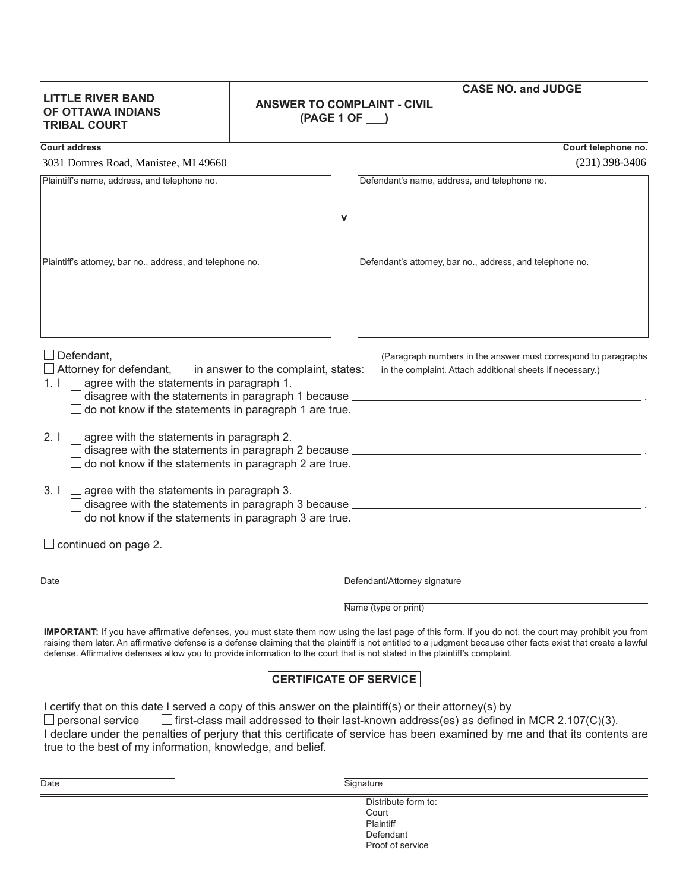## **LITTLE RIVER BAND OF OTTAWA INDIANS TRIBAL COURT**

## **ANSWER TO COMPLAINT - CIVIL (PAGE 1 OF \_\_\_)**

## **CASE NO. and JUDGE**

**Court address Court telephone no.**

3031 Domres Road, Manistee, MI 49660 (231) 398-3406

| 9091 Donnes Road, Manistee, M1 1700                                                                                                                                                            |                                                                                                                             |
|------------------------------------------------------------------------------------------------------------------------------------------------------------------------------------------------|-----------------------------------------------------------------------------------------------------------------------------|
| Plaintiff's name, address, and telephone no.                                                                                                                                                   | Defendant's name, address, and telephone no.                                                                                |
| v                                                                                                                                                                                              |                                                                                                                             |
| Plaintiff's attorney, bar no., address, and telephone no.                                                                                                                                      |                                                                                                                             |
|                                                                                                                                                                                                | Defendant's attorney, bar no., address, and telephone no.                                                                   |
|                                                                                                                                                                                                |                                                                                                                             |
|                                                                                                                                                                                                |                                                                                                                             |
| Defendant,<br>Attorney for defendant, in answer to the complaint, states:<br>1. $\Box$ agree with the statements in paragraph 1.                                                               | (Paragraph numbers in the answer must correspond to paragraphs<br>in the complaint. Attach additional sheets if necessary.) |
| $\Box$ disagree with the statements in paragraph 1 because $\Box$<br>do not know if the statements in paragraph 1 are true.                                                                    |                                                                                                                             |
| 2. $I \cup$ agree with the statements in paragraph 2.<br>$\Box$ disagree with the statements in paragraph 2 because $\_\_$<br>do not know if the statements in paragraph 2 are true.           |                                                                                                                             |
| 3. $I \square$ agree with the statements in paragraph 3.<br>$\Box$ disagree with the statements in paragraph 3 because $\_\_$<br>$\Box$ do not know if the statements in paragraph 3 are true. |                                                                                                                             |
| $\Box$ continued on page 2.                                                                                                                                                                    |                                                                                                                             |

 $\Box$ 

Date **Defendant/Attorney signature** 

Name (type or print)

Proof of service

**IMPORTANT:** If you have affirmative defenses, you must state them now using the last page of this form. If you do not, the court may prohibit you from raising them later. An affirmative defense is a defense claiming that the plaintiff is not entitled to a judgment because other facts exist that create a lawful defense. Affirmative defenses allow you to provide information to the court that is not stated in the plaintiff's complaint.

## **CERTIFICATE OF SERVICE**

I certify that on this date I served a copy of this answer on the plaintiff(s) or their attorney(s) by

 $\Box$  personal service  $\Box$  first-class mail addressed to their last-known address(es) as defined in MCR 2.107(C)(3). I declare under the penalties of perjury that this certificate of service has been examined by me and that its contents are true to the best of my information, knowledge, and belief.

| Date | Signature           |  |
|------|---------------------|--|
|      | Distribute form to: |  |
|      | Court               |  |
|      | Plaintiff           |  |
|      | Defendant           |  |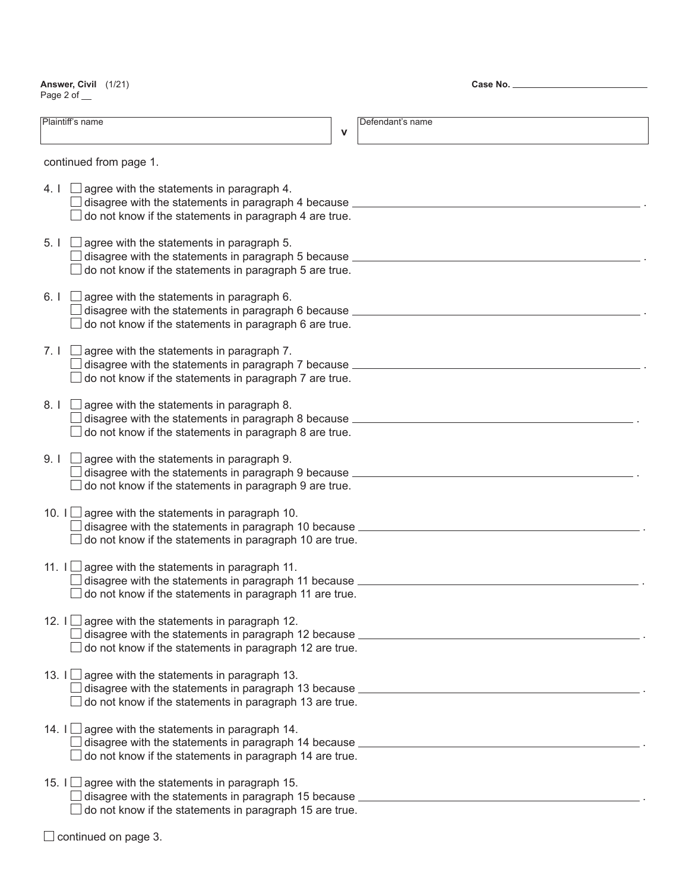**Answer, Civil** (1/21) Page 2 of \_\_

**Case No.**

| Plaintiff's name                                                                                                                                                                                                              | $\mathbf v$ | Defendant's name                                                                                       |
|-------------------------------------------------------------------------------------------------------------------------------------------------------------------------------------------------------------------------------|-------------|--------------------------------------------------------------------------------------------------------|
| continued from page 1.                                                                                                                                                                                                        |             |                                                                                                        |
| 4.1<br>agree with the statements in paragraph 4.<br>disagree with the statements in paragraph 4 because ___________<br>do not know if the statements in paragraph 4 are true.                                                 |             |                                                                                                        |
| 5.1 <sub>1</sub><br>agree with the statements in paragraph 5.<br>disagree with the statements in paragraph 5 because ________________<br>do not know if the statements in paragraph 5 are true.                               |             |                                                                                                        |
| 6.1<br>agree with the statements in paragraph 6.<br>disagree with the statements in paragraph 6 because ____________________________<br>do not know if the statements in paragraph 6 are true.                                |             |                                                                                                        |
| 7.1<br>agree with the statements in paragraph 7.<br>disagree with the statements in paragraph 7 because ____________________________<br>do not know if the statements in paragraph 7 are true.                                |             |                                                                                                        |
| $8.1-1$<br>agree with the statements in paragraph 8.<br>disagree with the statements in paragraph 8 because ____________________________<br>do not know if the statements in paragraph 8 are true.                            |             |                                                                                                        |
| 9.1<br>agree with the statements in paragraph 9.<br>disagree with the statements in paragraph 9 because ____________________________<br>do not know if the statements in paragraph 9 are true.                                |             |                                                                                                        |
| 10. I $\Box$ agree with the statements in paragraph 10.<br>disagree with the statements in paragraph 10 because ___________________________<br>do not know if the statements in paragraph 10 are true.                        |             |                                                                                                        |
| 11. $I \cup$ agree with the statements in paragraph 11.<br>disagree with the statements in paragraph 11 because ___________________________<br>do not know if the statements in paragraph 11 are true.                        |             |                                                                                                        |
| 12. $I \cup$ agree with the statements in paragraph 12.<br>disagree with the statements in paragraph 12 because ___________________________<br>do not know if the statements in paragraph 12 are true.                        |             |                                                                                                        |
| agree with the statements in paragraph 13.<br>13. $\Box$<br>disagree with the statements in paragraph 13 because <b>contract the contract of the statements</b> of<br>do not know if the statements in paragraph 13 are true. |             |                                                                                                        |
| 14. I $\Box$ agree with the statements in paragraph 14.<br>do not know if the statements in paragraph 14 are true.                                                                                                            |             | disagree with the statements in paragraph 14 because <b>contract the contract of the statements</b> of |
| agree with the statements in paragraph 15.<br>15. $I \Box$<br>disagree with the statements in paragraph 15 because ____________________________<br>do not know if the statements in paragraph 15 are true.                    |             |                                                                                                        |
| continued on page 3.                                                                                                                                                                                                          |             |                                                                                                        |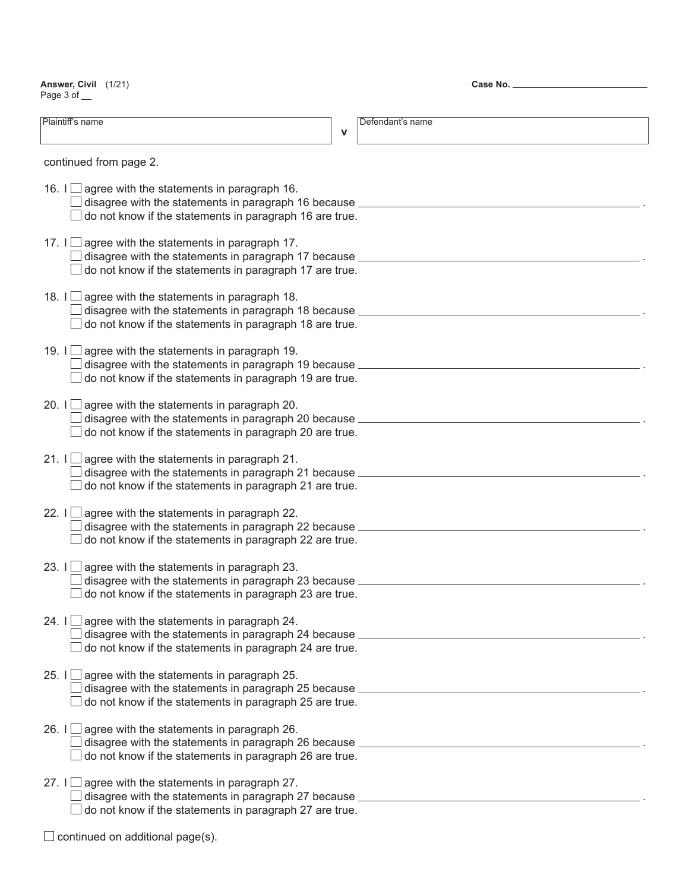**Answer, Civil** (1/21) Page 3 of \_\_

**Case No.**

| Plaintiff's name                                                                                                                                                                                                              | $\mathbf v$ | Defendant's name |
|-------------------------------------------------------------------------------------------------------------------------------------------------------------------------------------------------------------------------------|-------------|------------------|
| continued from page 2.                                                                                                                                                                                                        |             |                  |
| 16. $I \Box$ agree with the statements in paragraph 16.<br>disagree with the statements in paragraph 16 because _<br>do not know if the statements in paragraph 16 are true.                                                  |             |                  |
| 17. $I \cup$ agree with the statements in paragraph 17.<br>disagree with the statements in paragraph 17 because _<br>do not know if the statements in paragraph 17 are true.                                                  |             |                  |
| 18. $I \cup$ agree with the statements in paragraph 18.<br>disagree with the statements in paragraph 18 because _<br>do not know if the statements in paragraph 18 are true.                                                  |             |                  |
| 19. $  \Box$<br>agree with the statements in paragraph 19.<br>disagree with the statements in paragraph 19 because _<br>do not know if the statements in paragraph 19 are true.                                               |             |                  |
| 20. I $\Box$ agree with the statements in paragraph 20.<br>disagree with the statements in paragraph 20 because _<br>do not know if the statements in paragraph 20 are true.                                                  |             |                  |
| 21. $\Box$<br>agree with the statements in paragraph 21.<br>disagree with the statements in paragraph 21 because _<br>do not know if the statements in paragraph 21 are true.                                                 |             |                  |
| 22. $I \Box$<br>agree with the statements in paragraph 22.<br>disagree with the statements in paragraph 22 because _<br>do not know if the statements in paragraph 22 are true.                                               |             |                  |
| 23. $  \Box$<br>agree with the statements in paragraph 23.<br>disagree with the statements in paragraph 23 because _<br>do not know if the statements in paragraph 23 are true.                                               |             |                  |
| 24. I $\Box$ agree with the statements in paragraph 24.<br>disagree with the statements in paragraph 24 because ___________________________<br>do not know if the statements in paragraph 24 are true.                        |             |                  |
| agree with the statements in paragraph 25.<br>25. $I \Box$<br>disagree with the statements in paragraph 25 because<br>do not know if the statements in paragraph 25 are true.                                                 |             |                  |
| 26. I $\Box$ agree with the statements in paragraph 26.<br>disagree with the statements in paragraph 26 because ___________________________<br>do not know if the statements in paragraph 26 are true.                        |             |                  |
| agree with the statements in paragraph 27.<br>27. $\Box$<br>disagree with the statements in paragraph 27 because <b>contract the contract of the statements</b> of<br>do not know if the statements in paragraph 27 are true. |             |                  |

 $\Box$  continued on additional page(s).